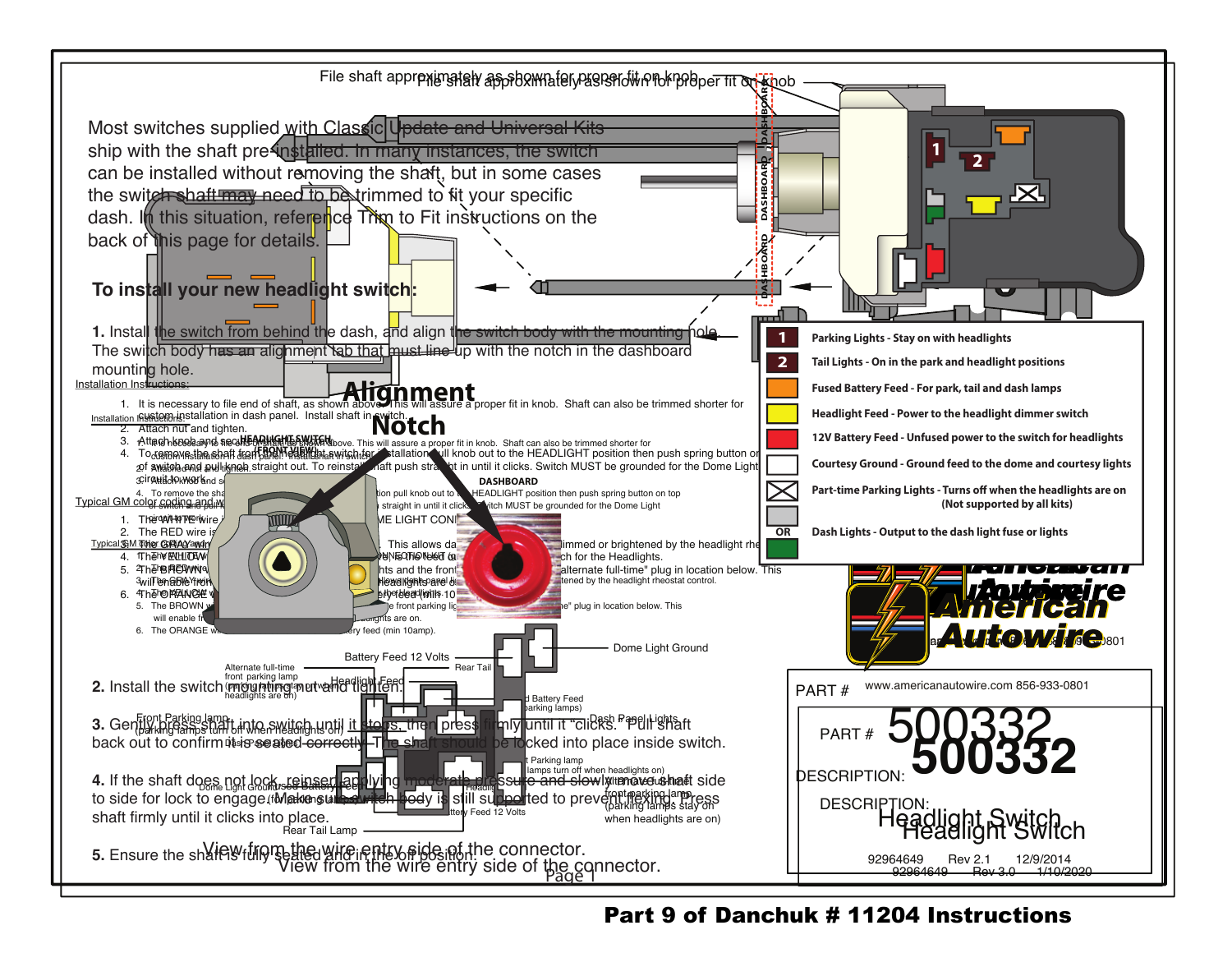

Part 9 of Danchuk # 11204 Instructions